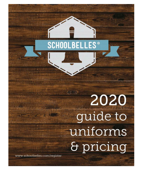## **SCHOOLBELLES**  $^{\circ}$

# 水管线 2020 guide to uniforms & pricing

www.schoolbelles.com/register

 $\mathbb{H}$  of  $\mathbb{R}$ 

Husk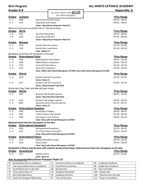| <b>Girls Program</b>                      |                               |                                                          |                                                                                                              | <b>ALL SAINTS CATHOLIC ACADEMY</b>     |                                        |  |
|-------------------------------------------|-------------------------------|----------------------------------------------------------|--------------------------------------------------------------------------------------------------------------|----------------------------------------|----------------------------------------|--|
| <b>Grades K-8</b>                         |                               |                                                          |                                                                                                              |                                        | Naperville, IL                         |  |
|                                           |                               |                                                          | Use your school code $S2105$                                                                                 |                                        |                                        |  |
|                                           |                               |                                                          | for online shopping                                                                                          |                                        |                                        |  |
| Grades                                    | <b>Jumpers</b>                |                                                          |                                                                                                              |                                        | <b>Price Range</b>                     |  |
| $K - 3$                                   | 1408                          | Round Neck Pleated Jumper                                |                                                                                                              |                                        | \$44.95 - \$48.95                      |  |
| $K - 3$                                   | 1421                          | Drop Waist Shift Jumper                                  |                                                                                                              |                                        | \$44.95 - \$48.95                      |  |
|                                           |                               | Skirts are to be worn no shorter than 2"" above the knee | Colors: Navy/Green Polyester Plaid-121                                                                       |                                        |                                        |  |
|                                           |                               |                                                          |                                                                                                              |                                        |                                        |  |
| Grades<br>$4 - 8$                         | <b>Skirts</b>                 | Two Kick Pleated Skirt                                   |                                                                                                              |                                        | <b>Price Range</b>                     |  |
|                                           | 1521                          |                                                          |                                                                                                              |                                        | \$44.95 - \$48.95                      |  |
| $4 - 8$<br>1525<br>Wrap Around Kilt Skirt |                               |                                                          |                                                                                                              | \$47.95 - \$49.95                      |                                        |  |
|                                           |                               |                                                          | Colors: Navy/Green Polyester Plaid-121                                                                       |                                        |                                        |  |
| <b>Grades</b>                             | <b>Blouses</b>                |                                                          |                                                                                                              |                                        | <b>Price Range</b>                     |  |
| $K - 3$                                   | 1739                          | Round Collar Short Sleeve                                |                                                                                                              |                                        | \$14.50 - \$19.50<br>\$15.50 - \$20.50 |  |
| $K - 3$                                   | 1740                          |                                                          | Round Collar Long Sleeve                                                                                     |                                        |                                        |  |
|                                           |                               | Color: White-17                                          |                                                                                                              |                                        |                                        |  |
|                                           |                               | Mandatory must have the monogram on the item             |                                                                                                              |                                        |                                        |  |
| <b>Grades</b>                             | <b>Embroidered Polos</b>      |                                                          |                                                                                                              |                                        | <b>Price Range</b>                     |  |
| $K - 8$                                   | 5708                          | <b>Ribbed Bottom Short Sleeve</b>                        |                                                                                                              |                                        | $$28.95 - $32.95$                      |  |
| $K - 8$                                   | 5709                          | <b>Ribbed Bottom Long Sleeve</b>                         |                                                                                                              |                                        | $$30.95 - $34.95$                      |  |
| K - 8                                     | 5735                          | Jersey Knit Short Sleeve                                 |                                                                                                              |                                        | \$23.40 - \$27.40                      |  |
| K - 8                                     | 5736                          | Jersey Knit Long Sleeve                                  | Color: White with School Monogram-17/7055, Grey with School Monogram-21/7055                                 |                                        | \$25.40 - \$29.40                      |  |
|                                           |                               |                                                          |                                                                                                              |                                        |                                        |  |
| Grades                                    | <b>Shorts</b>                 |                                                          |                                                                                                              |                                        | <b>Price Range</b>                     |  |
| K - 8                                     | 3276                          | <b>Brushed Twill Flat Front Short</b>                    |                                                                                                              |                                        | \$23.95 - \$27.95                      |  |
|                                           |                               | Colors: Navy-15                                          |                                                                                                              |                                        |                                        |  |
| K - 8                                     | 3277                          | <b>Brushed Twill Flat Front Short</b>                    |                                                                                                              |                                        | \$23.95 - \$27.95                      |  |
|                                           |                               |                                                          | <b>Colors: Navy Brushed Twill-1015</b>                                                                       |                                        |                                        |  |
|                                           |                               | Shorts worn Aug, Sept, and May with gym shoes            |                                                                                                              |                                        |                                        |  |
| <b>Grades</b>                             | <b>Slacks</b>                 |                                                          |                                                                                                              |                                        | <b>Price Range</b>                     |  |
| K - 8                                     | 3264                          |                                                          | Brushed Twill Straight Leg Pant                                                                              |                                        | \$26.95 - \$33.50                      |  |
|                                           |                               |                                                          | <b>Colors: Navy Brushed Twill-1015</b>                                                                       |                                        |                                        |  |
| K - 8                                     | 3244                          |                                                          | <b>Brushed Twill Straight Leg Pant</b>                                                                       |                                        | $$26.95 - $33.50$                      |  |
| $K - 8$                                   | 8263                          |                                                          | Classroom Stretch Narrow Leg Pant                                                                            |                                        | \$21.75 - \$29.75                      |  |
|                                           |                               | Colors: Navy-15                                          |                                                                                                              |                                        |                                        |  |
| <u>Grades</u>                             | <b>Embroidered Sweaters</b>   |                                                          |                                                                                                              |                                        | <b>Price Range</b>                     |  |
| $K - 8$                                   | 1960                          | Round Neck Cardigan                                      |                                                                                                              |                                        | \$40.40 - \$46.95                      |  |
| K - 8                                     | 1964                          | V-Neck Pullover Vest Sweater                             |                                                                                                              |                                        | \$37.40 - \$43.40                      |  |
| K - 8                                     | 1983                          | Fine Gauge V-neck Pullover                               |                                                                                                              |                                        | \$39.40 - \$45.95                      |  |
|                                           |                               |                                                          | Color: Navy with School Monogram-15/7055                                                                     |                                        |                                        |  |
|                                           |                               | Optional-must have the monogram on the item              |                                                                                                              |                                        |                                        |  |
| Grades                                    | <b>Embroidered Sweatshirt</b> |                                                          |                                                                                                              |                                        | <b>Price Range</b>                     |  |
| $K - 8$                                   | 2056                          | Monogrammed Sweatshirt                                   |                                                                                                              |                                        | \$23.70 - \$29.70                      |  |
| K - 8                                     | 2357                          | A+ 1/4 Zip Pullover Sweatshirt                           |                                                                                                              |                                        | \$30.20 - \$34.20                      |  |
|                                           |                               |                                                          | Color: Navy with School Monogram-15/7055                                                                     |                                        | <b>Price Range</b>                     |  |
| <b>Grades</b>                             | <b>Embroidered Fleece</b>     |                                                          |                                                                                                              |                                        |                                        |  |
| $K - 8$                                   | 2110                          | Campus Microfleece Jacket                                |                                                                                                              | \$40.70 - \$43.40<br>\$34.40 - \$38.40 |                                        |  |
| K - 8                                     | 2296                          | Fleece Jacket                                            |                                                                                                              |                                        |                                        |  |
|                                           |                               |                                                          | Color: Navy with School Monogram-15/7055                                                                     |                                        |                                        |  |
|                                           |                               |                                                          | Sweatshirt & Fleece may be worn with uniform during school days; Optional-must have the monogram on the item |                                        |                                        |  |
| <b>Grades</b>                             | <b>Accessories</b>            |                                                          |                                                                                                              |                                        | <b>Price Range</b>                     |  |
| $K - 8$                                   | 3271                          | <b>Modesty Shorts</b>                                    |                                                                                                              |                                        | $$13.35 - $16.45$                      |  |
|                                           |                               | Color: Navy-15                                           |                                                                                                              |                                        |                                        |  |
|                                           |                               | Hair Accessories-Navy/Green Polyester Plaid-121          |                                                                                                              |                                        |                                        |  |
| 70                                        | Round Button Bow on Headband  |                                                          | 77<br>Small Carnival Bow on Headband                                                                         | <b>Traditional Headband</b><br>98      |                                        |  |

| 70 | Round Button Bow on Headband       | 77 | Small Carnival Bow on Headband | 98  | Traditional Headband           |
|----|------------------------------------|----|--------------------------------|-----|--------------------------------|
| 71 | Two Layered Button Bow on Headband | 78 | Small Plaid Carnival Bow       | 96  | Double Bow Headband            |
| 72 | Round Button Bow on Barrette       | 88 | <b>Bow Barrette</b>            | 99  | Pony Tail Holder               |
| 74 | Three Layered Bow 3.5"             | 93 | <b>Headband with Elastic</b>   | 105 | Rosette Clip                   |
| 75 | Mini Plaid Pigtail Bows            | 95 | <b>Headband with Bow</b>       | 109 | <b>Plaid Streamer Hair Bow</b> |
| 76 | School bus Grosgrain Ribbon Bow    | 97 | Pony Tail Streamer             | 111 | Flower on Headband             |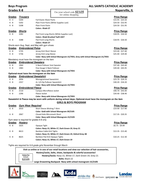|                   | <b>Boys Program</b>         |                                                          |                                                                             | <b>ALL SAINTS CATHOLIC ACADEMY</b>                                                                           |
|-------------------|-----------------------------|----------------------------------------------------------|-----------------------------------------------------------------------------|--------------------------------------------------------------------------------------------------------------|
| <b>Grades K-8</b> |                             |                                                          |                                                                             | Naperville, IL                                                                                               |
|                   |                             |                                                          | Use your school code $S2105$                                                |                                                                                                              |
| <b>Grades</b>     | <b>Trousers</b>             |                                                          | for online shopping                                                         | <b>Price Range</b>                                                                                           |
| $K - 3$           | 5204                        | <b>Full Elastic Waist Pants</b>                          |                                                                             | $$15.95 - $25.50$                                                                                            |
| K - 8             | 5202                        | Plain Front Pants (While Supplies Last)                  |                                                                             | $$24.50 - $32.95$                                                                                            |
| K - 8             | 5208                        | <b>Plain Front Pants</b>                                 |                                                                             | \$24.50 - \$31.95                                                                                            |
|                   |                             | <b>Colors: Khaki-27</b>                                  |                                                                             |                                                                                                              |
| <b>Grades</b>     | <b>Shorts</b>               |                                                          |                                                                             | <b>Price Range</b>                                                                                           |
| K - 8             | 3282                        |                                                          | Flat Front Long Shorts (While Supplies Last)                                | \$18.95 - \$26.50                                                                                            |
|                   |                             | <b>Colors: Khaki Brushed Twill-1027</b>                  |                                                                             |                                                                                                              |
| K - 8             | 3288                        | Flat Front Long Shorts                                   |                                                                             | $$18.95 - $26.50$                                                                                            |
|                   |                             | Colors: Khaki-27                                         |                                                                             |                                                                                                              |
|                   |                             | Shorts worn Aug, Sept, and May with gym shoes            |                                                                             |                                                                                                              |
| <b>Grades</b>     | <b>Embroidered Polos</b>    |                                                          |                                                                             | <b>Price Range</b>                                                                                           |
| K - 8             | 5735                        | Jersey Knit Short Sleeve                                 |                                                                             | \$23.40 - \$27.40                                                                                            |
| K - 8             | 5736                        | Jersey Knit Long Sleeve                                  |                                                                             | \$25.40 - \$29.40                                                                                            |
|                   |                             |                                                          | Color: Navy with School Monogram-15/7055, Grey with School Monogram-21/7055 |                                                                                                              |
|                   |                             | Mandatory must have the monogram on the item             |                                                                             |                                                                                                              |
| <b>Grades</b>     | <b>Embroidered Sweaters</b> |                                                          |                                                                             | <b>Price Range</b>                                                                                           |
| K - 8             | 1964                        | V-Neck Pullover Vest Sweater                             |                                                                             | \$37.40 - \$43.40                                                                                            |
| K - 8             | 1983                        | Fine Gauge V-Neck Pullover                               |                                                                             | \$39.40 - \$45.95                                                                                            |
|                   |                             |                                                          | Color: Navy with School Monogram-15/7055                                    |                                                                                                              |
|                   |                             | Optional-must have the monogram on the item              |                                                                             |                                                                                                              |
| Grades            |                             | <b>Embroidered Sweatshirt</b>                            |                                                                             | <b>Price Range</b>                                                                                           |
| $K - 8$           | 2056                        |                                                          |                                                                             | \$23.70 - \$29.70                                                                                            |
| K - 8             | 2357                        | Monogrammed Sweatshirt<br>A+ 1/4 Zip Pullover Sweatshirt |                                                                             | $$30.20 - $34.20$                                                                                            |
|                   |                             |                                                          | Color: Navy with School Monogram-15/7055                                    |                                                                                                              |
|                   |                             |                                                          |                                                                             |                                                                                                              |
| <b>Grades</b>     | <b>Embroidered Fleece</b>   |                                                          |                                                                             | <b>Price Range</b>                                                                                           |
| K - 8             | 2110                        | Campus Microfleece Jacket                                |                                                                             | \$40.70 - \$43.40                                                                                            |
| K - 8             | 2296                        | Fleece Jacket                                            |                                                                             | \$34.40 - \$38.40                                                                                            |
|                   |                             |                                                          | Color: Navy with School Monogram-15/7055                                    |                                                                                                              |
|                   |                             |                                                          |                                                                             | Sweatshirt & Fleece may be worn with uniform during school days; Optional-must have the monogram on the item |
|                   |                             |                                                          | <b>GIRLS &amp; BOYS PROGRAM</b>                                             |                                                                                                              |
| Grades            | <b>Gym Wear Required</b>    |                                                          |                                                                             | <b>Price Range</b>                                                                                           |
| $6 - 8$           | 2010                        | Short Sleeve Wicking T-Shirt                             |                                                                             | \$14.90 - \$17.90                                                                                            |
|                   |                             |                                                          | Color: Gold with School Monogram-39/2105                                    |                                                                                                              |
| $6 - 8$           | 2067                        | Closed Hole Micromesh Short                              |                                                                             | $$17.35 - $20.35$                                                                                            |
|                   |                             |                                                          | Color: Navy with School Monogram-15/2105                                    |                                                                                                              |
|                   |                             | Gym wear is required for grades 6-8 only                 |                                                                             |                                                                                                              |
| <b>Grades</b>     | <b>Hosiery</b>              |                                                          |                                                                             | <b>Price Range</b>                                                                                           |
| K - 8             | 1625                        | Opaque Tight                                             |                                                                             | $$6.75 - $9.99$                                                                                              |
|                   |                             |                                                          | Colors: Navy-15, White-17, Dark Green-19, Grey-21                           |                                                                                                              |
| K - 8             | 8613                        | <b>Bamboo Cable Knit Tights</b>                          |                                                                             | $$13.35 - $15.40$                                                                                            |
|                   |                             |                                                          | Colors: Navy-15, White-17, Dark Green-19, Oxford Grey-38                    |                                                                                                              |
| K - 8             | 8625                        | Bamboo Flat Knit Opaque Tights                           |                                                                             | $$10.25 - $12.30$                                                                                            |
|                   |                             |                                                          | Colors: Navy-15, White-17, Dark Green-19                                    |                                                                                                              |

Tights are required for 6-8 grade girls November through March

|                      | Visit us online or in one of our retail locations and view our selection of hair accessories, |
|----------------------|-----------------------------------------------------------------------------------------------|
|                      | Hosiery/socks, belts, shoes, backpacks & colorful accessories!                                |
| Colors For<br>School | Hosiery/Socks: Navy-15, White-17, Dark Green-19, Grey-21                                      |
| S2105                | <b>Belts: Black-22</b>                                                                        |
|                      | Large Drawstring Backpack- Navy with school monogram-15/2105                                  |